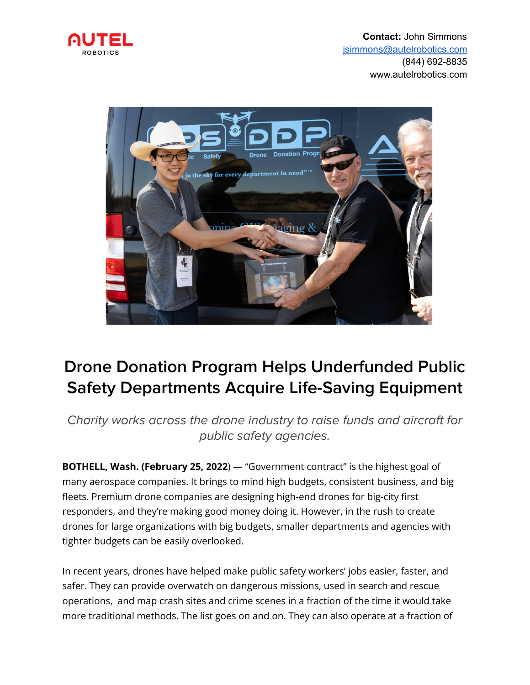



## **Drone Donation Program Helps Underfunded Public Safety Departments Acquire Life-Saving Equipment**

Charity works across the drone industry to raise funds and aircraft for public safety agencies.

**BOTHELL, Wash. (February 25, 2022**) — "Government contract" is the highest goal of many aerospace companies. It brings to mind high budgets, consistent business, and big fleets. Premium drone companies are designing high-end drones for big-city first responders, and they're making good money doing it. However, in the rush to create drones for large organizations with big budgets, smaller departments and agencies with tighter budgets can be easily overlooked.

In recent years, drones have helped make public safety workers' jobs easier, faster, and safer. They can provide overwatch on dangerous missions, used in search and rescue operations, and map crash sites and crime scenes in a fraction of the time it would take more traditional methods. The list goes on and on. They can also operate at a fraction of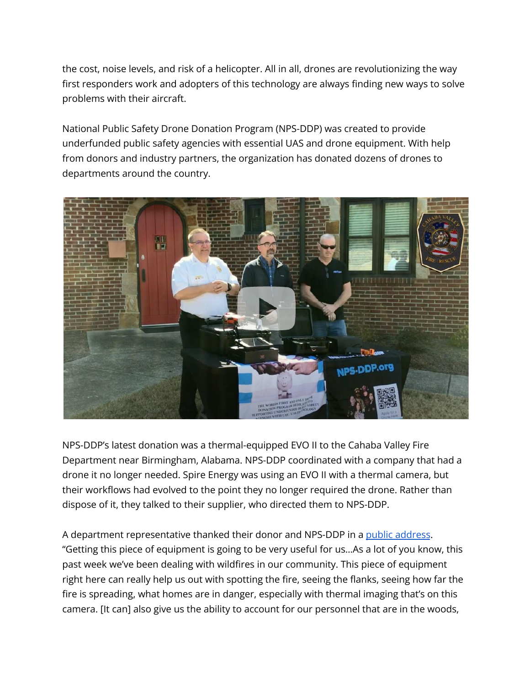the cost, noise levels, and risk of a helicopter. All in all, drones are revolutionizing the way first responders work and adopters of this technology are always finding new ways to solve problems with their aircraft.

National Public Safety Drone Donation Program (NPS-DDP) was created to provide underfunded public safety agencies with essential UAS and drone equipment. With help from donors and industry partners, the organization has donated dozens of drones to departments around the country.



NPS-DDP's latest donation was a thermal-equipped EVO II to the Cahaba Valley Fire Department near Birmingham, Alabama. NPS-DDP coordinated with a company that had a drone it no longer needed. Spire Energy was using an EVO II with a thermal camera, but their workflows had evolved to the point they no longer required the drone. Rather than dispose of it, they talked to their supplier, who directed them to NPS-DDP.

A department representative thanked their donor and NPS-DDP in a public [address](https://www.youtube.com/watch?v=4zTqmxdZimI). "Getting this piece of equipment is going to be very useful for us…As a lot of you know, this past week we've been dealing with wildfires in our community. This piece of equipment right here can really help us out with spotting the fire, seeing the flanks, seeing how far the fire is spreading, what homes are in danger, especially with thermal imaging that's on this camera. [It can] also give us the ability to account for our personnel that are in the woods,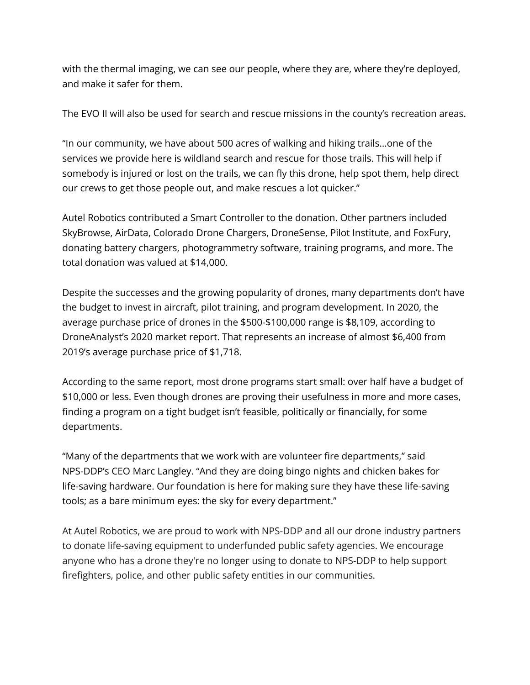with the thermal imaging, we can see our people, where they are, where they're deployed, and make it safer for them.

The EVO II will also be used for search and rescue missions in the county's recreation areas.

"In our community, we have about 500 acres of walking and hiking trails…one of the services we provide here is wildland search and rescue for those trails. This will help if somebody is injured or lost on the trails, we can fly this drone, help spot them, help direct our crews to get those people out, and make rescues a lot quicker."

Autel Robotics contributed a Smart Controller to the donation. Other partners included SkyBrowse, AirData, Colorado Drone Chargers, DroneSense, Pilot Institute, and FoxFury, donating battery chargers, photogrammetry software, training programs, and more. The total donation was valued at \$14,000.

Despite the successes and the growing popularity of drones, many departments don't have the budget to invest in aircraft, pilot training, and program development. In 2020, the average purchase price of drones in the \$500-\$100,000 range is \$8,109, according to DroneAnalyst's 2020 market report. That represents an increase of almost \$6,400 from 2019's average purchase price of \$1,718.

According to the same report, most drone programs start small: over half have a budget of \$10,000 or less. Even though drones are proving their usefulness in more and more cases, finding a program on a tight budget isn't feasible, politically or financially, for some departments.

"Many of the departments that we work with are volunteer fire departments," said NPS-DDP's CEO Marc Langley. "And they are doing bingo nights and chicken bakes for life-saving hardware. Our foundation is here for making sure they have these life-saving tools; as a bare minimum eyes: the sky for every department."

At Autel Robotics, we are proud to work with NPS-DDP and all our drone industry partners to donate life-saving equipment to underfunded public safety agencies. We encourage anyone who has a drone they're no longer using to donate to NPS-DDP to help support firefighters, police, and other public safety entities in our communities.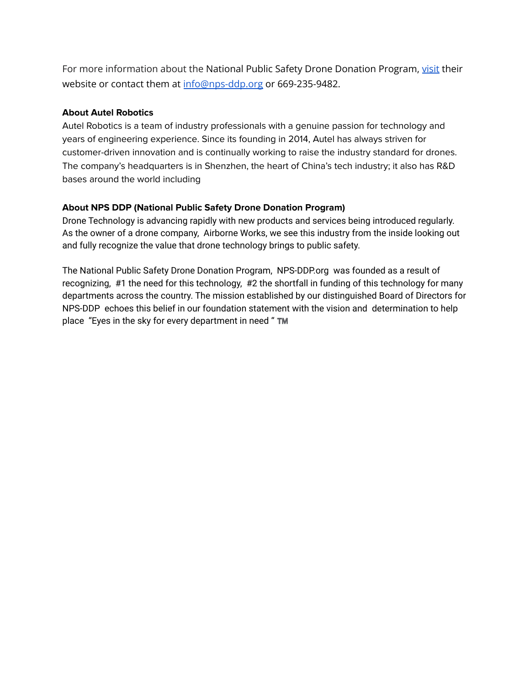For more information about the National Public Safety Drone Donation Program, [visit](https://nps-ddp.org/) their website or contact them at [info@nps-ddp.org](mailto:info@nps-ddp.org) or 669-235-9482.

## **About Autel Robotics**

Autel Robotics is a team of industry professionals with a genuine passion for technology and years of engineering experience. Since its founding in 2014, Autel has always striven for customer-driven innovation and is continually working to raise the industry standard for drones. The company's headquarters is in Shenzhen, the heart of China's tech industry; it also has R&D bases around the world including

## **About NPS DDP (National Public Safety Drone Donation Program)**

Drone Technology is advancing rapidly with new products and services being introduced regularly. As the owner of a drone company, Airborne Works, we see this industry from the inside looking out and fully recognize the value that drone technology brings to public safety.

The National Public Safety Drone Donation Program, NPS-DDP.org was founded as a result of recognizing, #1 the need for this technology, #2 the shortfall in funding of this technology for many departments across the country. The mission established by our distinguished Board of Directors for NPS-DDP echoes this belief in our foundation statement with the vision and determination to help place "Eyes in the sky for every department in need "TM